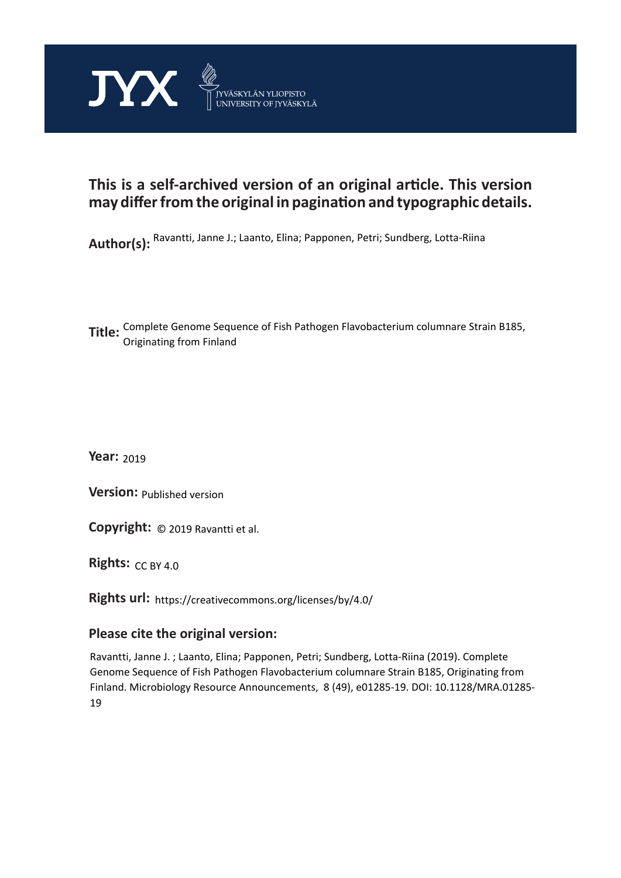

## **This is a self-archived version of an original article. This version may differ from the original in pagination and typographic details.**

**Author(s):**  Ravantti, Janne J.; Laanto, Elina; Papponen, Petri; Sundberg, Lotta-Riina

**Title:**  Complete Genome Sequence of Fish Pathogen Flavobacterium columnare Strain B185, Originating from Finland

**Year:**  2019

**Version:**

**Version:** Published version<br>**Copyright:** © 2019 Ravantti et al.

**Rights:** CC BY 4.0

**Rights url:**  https://creativecommons.org/licenses/by/4.0/

### **Please cite the original version:**

Ravantti, Janne J. ; Laanto, Elina; Papponen, Petri; Sundberg, Lotta-Riina (2019). Complete Genome Sequence of Fish Pathogen Flavobacterium columnare Strain B185, Originating from Finland. Microbiology Resource Announcements, 8 (49), e01285-19. DOI: 10.1128/MRA.01285- 19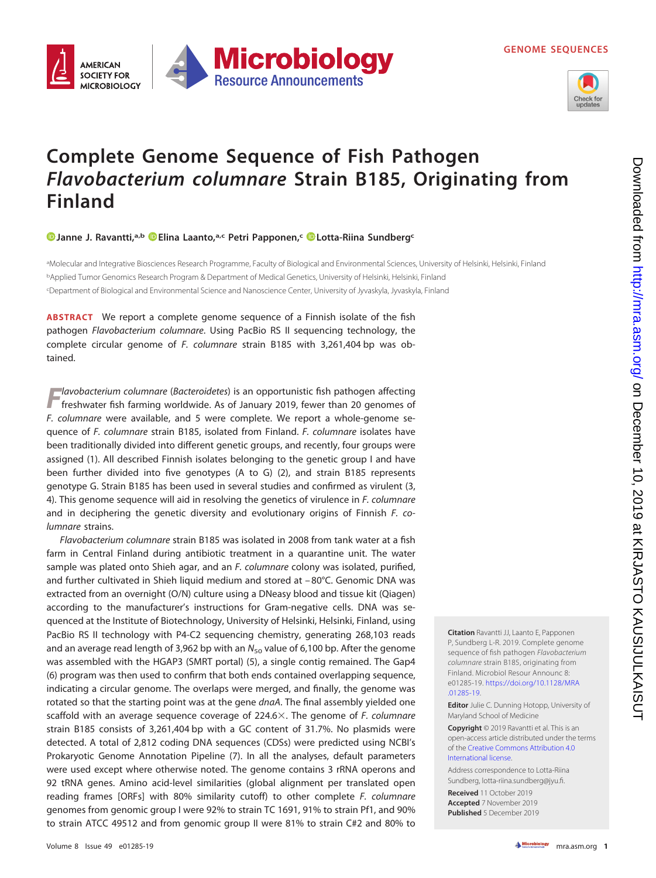

# **Complete Genome Sequence of Fish Pathogen Flavobacterium columnare Strain B185, Originating from Finland**

**Microbiology** 

**Resource Announcements** 

**[Janne J. Ravantti,](https://orcid.org/0000-0002-8578-7230)a,b [Elina Laanto,](https://orcid.org/0000-0003-4172-3128)a,c Petri Papponen,c [Lotta-Riina Sundbergc](https://orcid.org/0000-0003-3510-4398)**

aMolecular and Integrative Biosciences Research Programme, Faculty of Biological and Environmental Sciences, University of Helsinki, Helsinki, Finland <sup>b</sup>Applied Tumor Genomics Research Program & Department of Medical Genetics, University of Helsinki, Helsinki, Finland c Department of Biological and Environmental Science and Nanoscience Center, University of Jyvaskyla, Jyvaskyla, Finland

**ABSTRACT** We report a complete genome sequence of a Finnish isolate of the fish pathogen Flavobacterium columnare. Using PacBio RS II sequencing technology, the complete circular genome of F. columnare strain B185 with 3,261,404 bp was obtained.

**Flavobacterium columnare (Bacteroidetes) is an opportunistic fish pathogen affecting<br>freshwater fish farming worldwide. As of January 2019, fewer than 20 genomes of** F. columnare were available, and 5 were complete. We report a whole-genome sequence of F. columnare strain B185, isolated from Finland. F. columnare isolates have been traditionally divided into different genetic groups, and recently, four groups were assigned [\(1\)](#page-2-0). All described Finnish isolates belonging to the genetic group I and have been further divided into five genotypes (A to G) [\(2\)](#page-2-1), and strain B185 represents genotype G. Strain B185 has been used in several studies and confirmed as virulent [\(3,](#page-2-2) [4\)](#page-2-3). This genome sequence will aid in resolving the genetics of virulence in F. columnare and in deciphering the genetic diversity and evolutionary origins of Finnish  $F.$  columnare strains.

Flavobacterium columnare strain B185 was isolated in 2008 from tank water at a fish farm in Central Finland during antibiotic treatment in a quarantine unit. The water sample was plated onto Shieh agar, and an F. columnare colony was isolated, purified, and further cultivated in Shieh liquid medium and stored at – 80°C. Genomic DNA was extracted from an overnight (O/N) culture using a DNeasy blood and tissue kit (Qiagen) according to the manufacturer's instructions for Gram-negative cells. DNA was sequenced at the Institute of Biotechnology, University of Helsinki, Helsinki, Finland, using PacBio RS II technology with P4-C2 sequencing chemistry, generating 268,103 reads and an average read length of 3,962 bp with an  $N_{50}$  value of 6,100 bp. After the genome was assembled with the HGAP3 (SMRT portal) [\(5\)](#page-2-4), a single contig remained. The Gap4 [\(6\)](#page-2-5) program was then used to confirm that both ends contained overlapping sequence, indicating a circular genome. The overlaps were merged, and finally, the genome was rotated so that the starting point was at the gene dnaA. The final assembly yielded one scaffold with an average sequence coverage of 224.6 $\times$ . The genome of F. columnare strain B185 consists of 3,261,404 bp with a GC content of 31.7%. No plasmids were detected. A total of 2,812 coding DNA sequences (CDSs) were predicted using NCBI's Prokaryotic Genome Annotation Pipeline [\(7\)](#page-2-6). In all the analyses, default parameters were used except where otherwise noted. The genome contains 3 rRNA operons and 92 tRNA genes. Amino acid-level similarities (global alignment per translated open reading frames [ORFs] with 80% similarity cutoff) to other complete F. columnare genomes from genomic group I were 92% to strain TC 1691, 91% to strain Pf1, and 90% to strain ATCC 49512 and from genomic group II were 81% to strain C#2 and 80% to

**Citation** Ravantti JJ, Laanto E, Papponen P, Sundberg L-R. 2019. Complete genome sequence of fish pathogen Flavobacterium columnare strain B185, originating from Finland. Microbiol Resour Announc 8: e01285-19. [https://doi.org/10.1128/MRA](https://doi.org/10.1128/MRA.01285-19) [.01285-19.](https://doi.org/10.1128/MRA.01285-19)

**Editor** Julie C. Dunning Hotopp, University of Maryland School of Medicine

**Copyright** © 2019 Ravantti et al. This is an open-access article distributed under the terms of the [Creative Commons Attribution 4.0](https://creativecommons.org/licenses/by/4.0/) [International](https://creativecommons.org/licenses/by/4.0/) license.

Address correspondence to Lotta-Riina Sundberg, [lotta-riina.sundberg@jyu.fi.](mailto:lotta-riina.sundberg@jyu.fi)

**Received** 11 October 2019 **Accepted** 7 November 2019 **Published** 5 December 2019

**AMERICAN SOCIETY FOR** 

**MICROBIOLOGY**